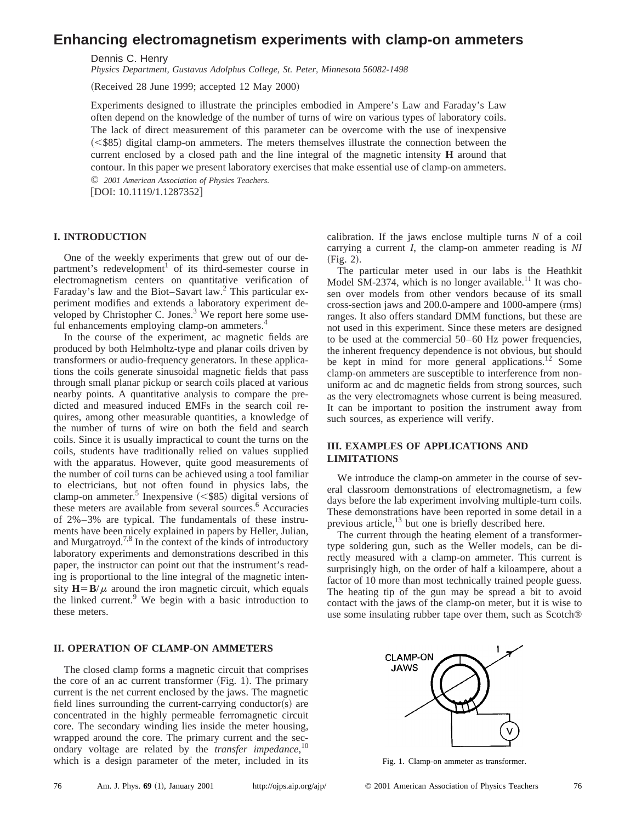# **Enhancing electromagnetism experiments with clamp-on ammeters**

Dennis C. Henry

*Physics Department, Gustavus Adolphus College, St. Peter, Minnesota 56082-1498*

 $(Received 28 June 1999; accepted 12 May 2000)$ 

Experiments designed to illustrate the principles embodied in Ampere's Law and Faraday's Law often depend on the knowledge of the number of turns of wire on various types of laboratory coils. The lack of direct measurement of this parameter can be overcome with the use of inexpensive  $(<$ \$85) digital clamp-on ammeters. The meters themselves illustrate the connection between the current enclosed by a closed path and the line integral of the magnetic intensity **H** around that contour. In this paper we present laboratory exercises that make essential use of clamp-on ammeters. © *2001 American Association of Physics Teachers.*

 $[DOI: 10.1119/1.1287352]$ 

## **I. INTRODUCTION**

One of the weekly experiments that grew out of our department's redevelopment<sup>1</sup> of its third-semester course in electromagnetism centers on quantitative verification of Faraday's law and the Biot–Savart law.2 This particular experiment modifies and extends a laboratory experiment developed by Christopher C. Jones. $3$  We report here some useful enhancements employing clamp-on ammeters.<sup>4</sup>

In the course of the experiment, ac magnetic fields are produced by both Helmholtz-type and planar coils driven by transformers or audio-frequency generators. In these applications the coils generate sinusoidal magnetic fields that pass through small planar pickup or search coils placed at various nearby points. A quantitative analysis to compare the predicted and measured induced EMFs in the search coil requires, among other measurable quantities, a knowledge of the number of turns of wire on both the field and search coils. Since it is usually impractical to count the turns on the coils, students have traditionally relied on values supplied with the apparatus. However, quite good measurements of the number of coil turns can be achieved using a tool familiar to electricians, but not often found in physics labs, the clamp-on ammeter.<sup>5</sup> Inexpensive  $(<$ \$85) digital versions of these meters are available from several sources.<sup>6</sup> Accuracies of 2%–3% are typical. The fundamentals of these instruments have been nicely explained in papers by Heller, Julian, and Murgatroyd.<sup>7,8</sup> In the context of the kinds of introductory laboratory experiments and demonstrations described in this paper, the instructor can point out that the instrument's reading is proportional to the line integral of the magnetic intensity  $H = B/\mu$  around the iron magnetic circuit, which equals the linked current.<sup>9</sup> We begin with a basic introduction to these meters.

### **II. OPERATION OF CLAMP-ON AMMETERS**

The closed clamp forms a magnetic circuit that comprises the core of an ac current transformer  $(Fig. 1)$ . The primary current is the net current enclosed by the jaws. The magnetic field lines surrounding the current-carrying conductor(s) are concentrated in the highly permeable ferromagnetic circuit core. The secondary winding lies inside the meter housing, wrapped around the core. The primary current and the secondary voltage are related by the *transfer impedance*, 10 which is a design parameter of the meter, included in its

calibration. If the jaws enclose multiple turns *N* of a coil carrying a current *I*, the clamp-on ammeter reading is *NI*  $(Fig. 2).$ 

The particular meter used in our labs is the Heathkit Model SM-2374, which is no longer available.<sup>11</sup> It was chosen over models from other vendors because of its small  $cross-section$  jaws and  $200.0$ -ampere and  $1000$ -ampere  $(rms)$ ranges. It also offers standard DMM functions, but these are not used in this experiment. Since these meters are designed to be used at the commercial 50–60 Hz power frequencies, the inherent frequency dependence is not obvious, but should be kept in mind for more general applications.<sup>12</sup> Some clamp-on ammeters are susceptible to interference from nonuniform ac and dc magnetic fields from strong sources, such as the very electromagnets whose current is being measured. It can be important to position the instrument away from such sources, as experience will verify.

## **III. EXAMPLES OF APPLICATIONS AND LIMITATIONS**

We introduce the clamp-on ammeter in the course of several classroom demonstrations of electromagnetism, a few days before the lab experiment involving multiple-turn coils. These demonstrations have been reported in some detail in a previous article, $^{13}$  but one is briefly described here.

The current through the heating element of a transformertype soldering gun, such as the Weller models, can be directly measured with a clamp-on ammeter. This current is surprisingly high, on the order of half a kiloampere, about a factor of 10 more than most technically trained people guess. The heating tip of the gun may be spread a bit to avoid contact with the jaws of the clamp-on meter, but it is wise to use some insulating rubber tape over them, such as Scotch®



Fig. 1. Clamp-on ammeter as transformer.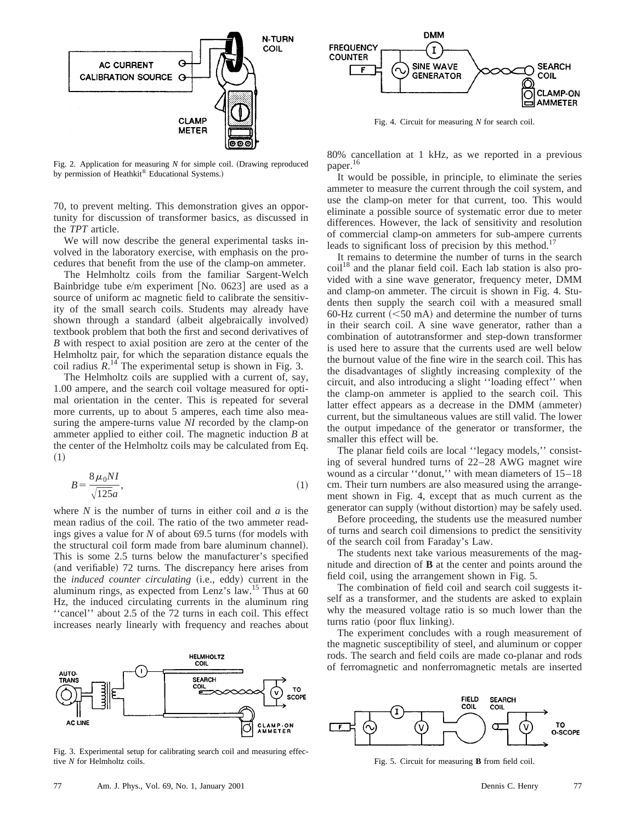

Fig. 2. Application for measuring  $N$  for simple coil. (Drawing reproduced by permission of Heathkit® Educational Systems.)

70, to prevent melting. This demonstration gives an opportunity for discussion of transformer basics, as discussed in the *TPT* article.

We will now describe the general experimental tasks involved in the laboratory exercise, with emphasis on the procedures that benefit from the use of the clamp-on ammeter.

The Helmholtz coils from the familiar Sargent-Welch Bainbridge tube  $e/m$  experiment [No. 0623] are used as a source of uniform ac magnetic field to calibrate the sensitivity of the small search coils. Students may already have shown through a standard (albeit algebraically involved) textbook problem that both the first and second derivatives of *B* with respect to axial position are zero at the center of the Helmholtz pair, for which the separation distance equals the coil radius  $R^{14}$ . The experimental setup is shown in Fig. 3.

The Helmholtz coils are supplied with a current of, say, 1.00 ampere, and the search coil voltage measured for optimal orientation in the center. This is repeated for several more currents, up to about 5 amperes, each time also measuring the ampere-turns value *NI* recorded by the clamp-on ammeter applied to either coil. The magnetic induction *B* at the center of the Helmholtz coils may be calculated from Eq.  $(1)$ 

$$
B = \frac{8\,\mu_0 NI}{\sqrt{125}a},\tag{1}
$$

where *N* is the number of turns in either coil and *a* is the mean radius of the coil. The ratio of the two ammeter readings gives a value for  *of about 69.5 turns (for models with* the structural coil form made from bare aluminum channel). This is some 2.5 turns below the manufacturer's specified (and verifiable) 72 turns. The discrepancy here arises from the *induced counter circulating* (i.e., eddy) current in the aluminum rings, as expected from Lenz's law.15 Thus at 60 Hz, the induced circulating currents in the aluminum ring ''cancel'' about 2.5 of the 72 turns in each coil. This effect increases nearly linearly with frequency and reaches about



Fig. 3. Experimental setup for calibrating search coil and measuring effective *N* for Helmholtz coils.



Fig. 4. Circuit for measuring *N* for search coil.

80% cancellation at 1 kHz, as we reported in a previous paper.<sup>16</sup>

It would be possible, in principle, to eliminate the series ammeter to measure the current through the coil system, and use the clamp-on meter for that current, too. This would eliminate a possible source of systematic error due to meter differences. However, the lack of sensitivity and resolution of commercial clamp-on ammeters for sub-ampere currents leads to significant loss of precision by this method.<sup>17</sup>

It remains to determine the number of turns in the search  $\text{coil}^{18}$  and the planar field coil. Each lab station is also provided with a sine wave generator, frequency meter, DMM and clamp-on ammeter. The circuit is shown in Fig. 4. Students then supply the search coil with a measured small 60-Hz current  $(<50$  mA) and determine the number of turns in their search coil. A sine wave generator, rather than a combination of autotransformer and step-down transformer is used here to assure that the currents used are well below the burnout value of the fine wire in the search coil. This has the disadvantages of slightly increasing complexity of the circuit, and also introducing a slight ''loading effect'' when the clamp-on ammeter is applied to the search coil. This latter effect appears as a decrease in the DMM (ammeter) current, but the simultaneous values are still valid. The lower the output impedance of the generator or transformer, the smaller this effect will be.

The planar field coils are local ''legacy models,'' consisting of several hundred turns of 22–28 AWG magnet wire wound as a circular ''donut,'' with mean diameters of 15–18 cm. Their turn numbers are also measured using the arrangement shown in Fig. 4, except that as much current as the generator can supply (without distortion) may be safely used.

Before proceeding, the students use the measured number of turns and search coil dimensions to predict the sensitivity of the search coil from Faraday's Law.

The students next take various measurements of the magnitude and direction of **B** at the center and points around the field coil, using the arrangement shown in Fig. 5.

The combination of field coil and search coil suggests itself as a transformer, and the students are asked to explain why the measured voltage ratio is so much lower than the turns ratio (poor flux linking).

The experiment concludes with a rough measurement of the magnetic susceptibility of steel, and aluminum or copper rods. The search and field coils are made co-planar and rods of ferromagnetic and nonferromagnetic metals are inserted



Fig. 5. Circuit for measuring **B** from field coil.